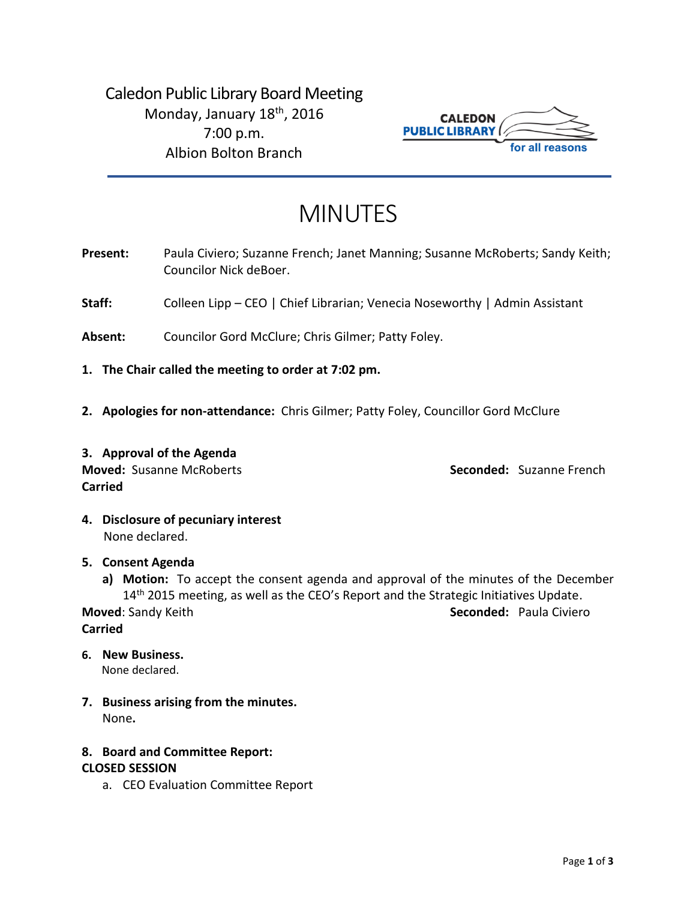Caledon Public Library Board Meeting Monday, January 18<sup>th</sup>, 2016 7:00 p.m. Albion Bolton Branch



# MINUTES

- Present: Paula Civiero; Suzanne French; Janet Manning; Susanne McRoberts; Sandy Keith; Councilor Nick deBoer.
- **Staff:** Colleen Lipp CEO | Chief Librarian; Venecia Noseworthy | Admin Assistant
- **Absent:** Councilor Gord McClure; Chris Gilmer; Patty Foley.
- **1. The Chair called the meeting to order at 7:02 pm.**
- **2. Apologies for non-attendance:** Chris Gilmer; Patty Foley, Councillor Gord McClure
- **3. Approval of the Agenda Moved:** Susanne McRoberts **Seconded:** Suzanne French **Carried**

**4. Disclosure of pecuniary interest** None declared.

#### **5. Consent Agenda**

**a) Motion:** To accept the consent agenda and approval of the minutes of the December 14<sup>th</sup> 2015 meeting, as well as the CEO's Report and the Strategic Initiatives Update. **Moved: Sandy Keith <b>Seconded:**  Paula Civiero **Seconded:** Paula Civiero

**Carried**

- **6. New Business.**  None declared.
- **7. Business arising from the minutes.** None**.**

# **8. Board and Committee Report:**

#### **CLOSED SESSION**

a. CEO Evaluation Committee Report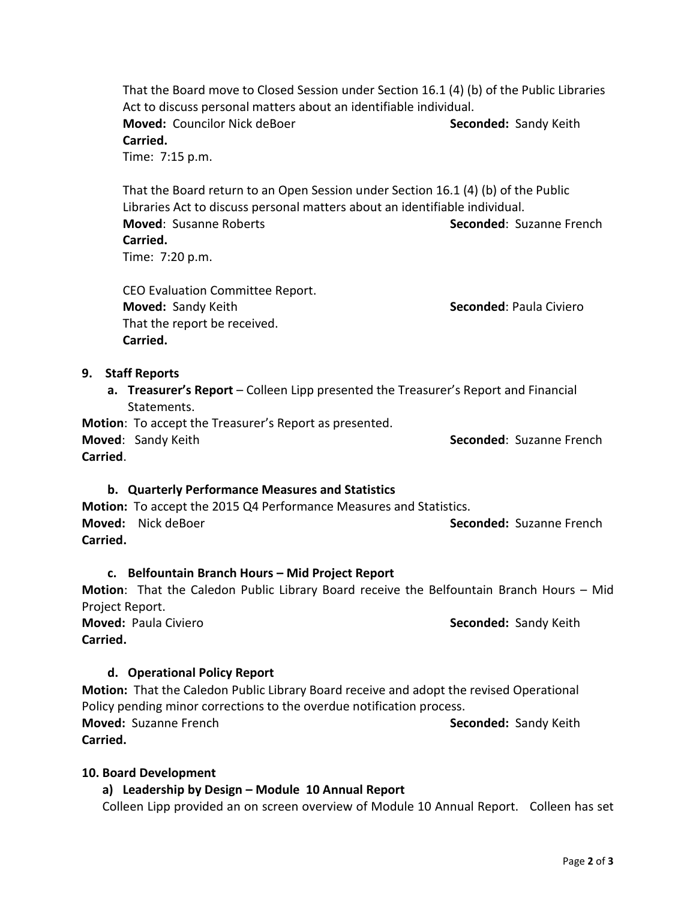That the Board move to Closed Session under Section 16.1 (4) (b) of the Public Libraries Act to discuss personal matters about an identifiable individual. **Moved:** Councilor Nick deBoer **Seconded:** Sandy Keith **Carried.** Time: 7:15 p.m.

That the Board return to an Open Session under Section 16.1 (4) (b) of the Public Libraries Act to discuss personal matters about an identifiable individual. **Moved**: Susanne Roberts **Seconded**: Suzanne French **Carried.** Time: 7:20 p.m.

CEO Evaluation Committee Report. **Moved:** Sandy Keith **Seconded**: Paula Civiero That the report be received. **Carried.**

#### **9. Staff Reports**

**a. Treasurer's Report** – Colleen Lipp presented the Treasurer's Report and Financial Statements.

**Motion**: To accept the Treasurer's Report as presented.

**Moved:** Sandy Keith **Seconded:** Suzanne French **Carried**.

**b. Quarterly Performance Measures and Statistics**

**Motion:** To accept the 2015 Q4 Performance Measures and Statistics. **Moved:** Nick deBoer **Seconded:** Suzanne French **Carried.**

#### **c. Belfountain Branch Hours – Mid Project Report**

**Motion**: That the Caledon Public Library Board receive the Belfountain Branch Hours – Mid Project Report.

**Moved: Paula Civiero <b>Seconded:** Sandy Keith **Carried.**

#### **d. Operational Policy Report**

**Motion:** That the Caledon Public Library Board receive and adopt the revised Operational Policy pending minor corrections to the overdue notification process. **Moved:** Suzanne French **Seconded:** Sandy Keith **Carried.** 

#### **10. Board Development**

## **a) Leadership by Design – Module 10 Annual Report**

Colleen Lipp provided an on screen overview of Module 10 Annual Report. Colleen has set